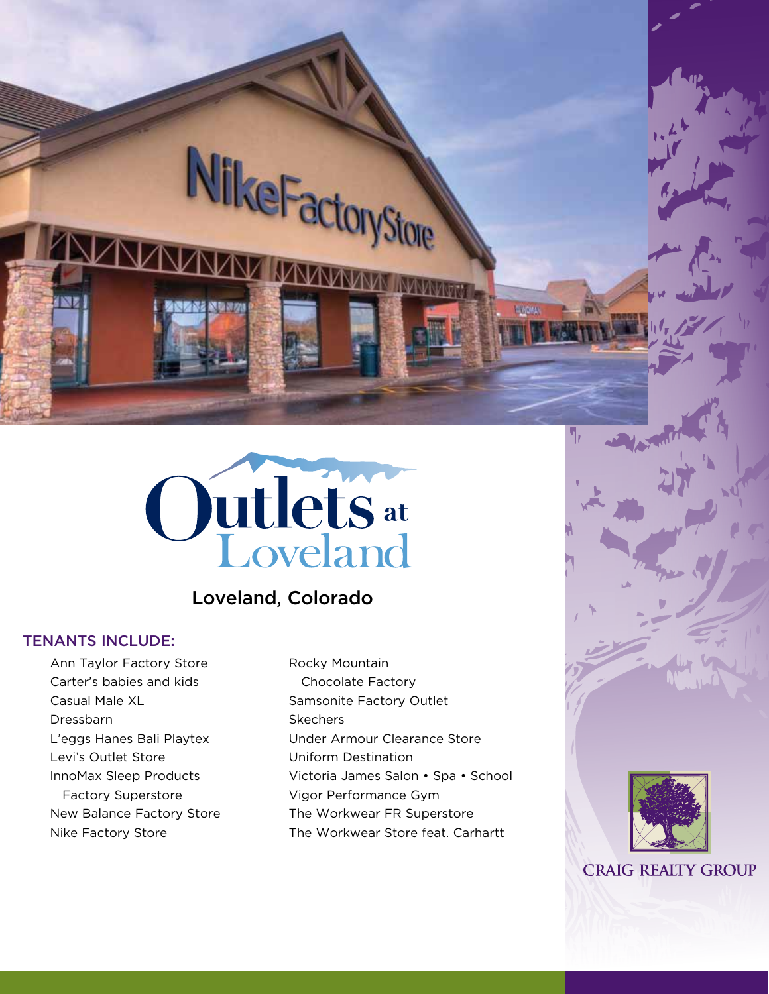Outlets at

NikeFactor

# Loveland, Colorado

# TENANTS INCLUDE:

Ann Taylor Factory Store Carter's babies and kids Casual Male XL Dressbarn L'eggs Hanes Bali Playtex Levi's Outlet Store lnnoMax Sleep Products Factory Superstore New Balance Factory Store Nike Factory Store

Rocky Mountain Chocolate Factory Samsonite Factory Outlet **Skechers** Under Armour Clearance Store Uniform Destination Victoria James Salon • Spa • School Vigor Performance Gym The Workwear FR Superstore The Workwear Store feat. Carhartt

Store



**CRAIG REALTY GROUP**